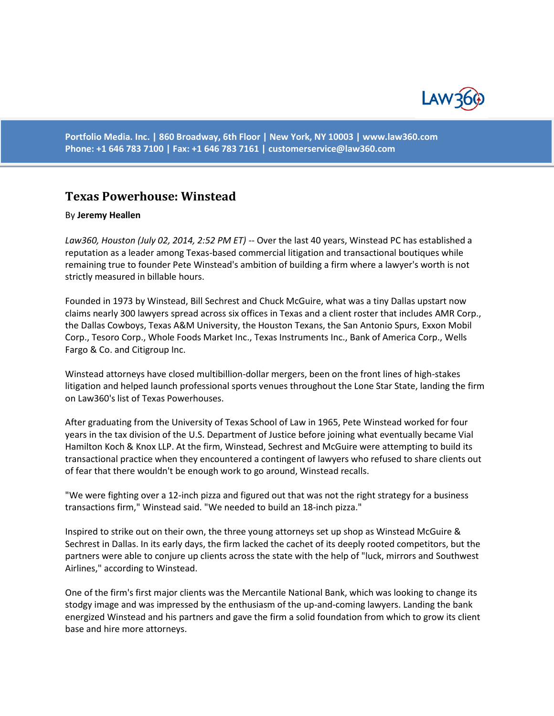

**Portfolio Media. Inc. | 860 Broadway, 6th Floor | New York, NY 10003 | www.law360.com Phone: +1 646 783 7100 | Fax: +1 646 783 7161 | [customerservice@law360.com](mailto:customerservice@law360.com)**

## **Texas Powerhouse: Winstead**

## By **Jeremy Heallen**

*Law360, Houston (July 02, 2014, 2:52 PM ET)* -- Over the last 40 years, Winstead PC has established a reputation as a leader among Texas-based commercial litigation and transactional boutiques while remaining true to founder Pete Winstead's ambition of building a firm where a lawyer's worth is not strictly measured in billable hours.

Founded in 1973 by Winstead, Bill Sechrest and Chuck McGuire, what was a tiny Dallas upstart now claims nearly 300 lawyers spread across six offices in Texas and a client roster that includes AMR Corp., the Dallas Cowboys, Texas A&M University, the Houston Texans, the San Antonio Spurs, Exxon Mobil Corp., Tesoro Corp., Whole Foods Market Inc., Texas Instruments Inc., Bank of America Corp., Wells Fargo & Co. and Citigroup Inc.

Winstead attorneys have closed multibillion-dollar mergers, been on the front lines of high-stakes litigation and helped launch professional sports venues throughout the Lone Star State, landing the firm on Law360's list of Texas Powerhouses.

After graduating from the University of Texas School of Law in 1965, Pete Winstead worked for four years in the tax division of the U.S. Department of Justice before joining what eventually became Vial Hamilton Koch & Knox LLP. At the firm, Winstead, Sechrest and McGuire were attempting to build its transactional practice when they encountered a contingent of lawyers who refused to share clients out of fear that there wouldn't be enough work to go around, Winstead recalls.

"We were fighting over a 12-inch pizza and figured out that was not the right strategy for a business transactions firm," Winstead said. "We needed to build an 18-inch pizza."

Inspired to strike out on their own, the three young attorneys set up shop as Winstead McGuire & Sechrest in Dallas. In its early days, the firm lacked the cachet of its deeply rooted competitors, but the partners were able to conjure up clients across the state with the help of "luck, mirrors and Southwest Airlines," according to Winstead.

One of the firm's first major clients was the Mercantile National Bank, which was looking to change its stodgy image and was impressed by the enthusiasm of the up-and-coming lawyers. Landing the bank energized Winstead and his partners and gave the firm a solid foundation from which to grow its client base and hire more attorneys.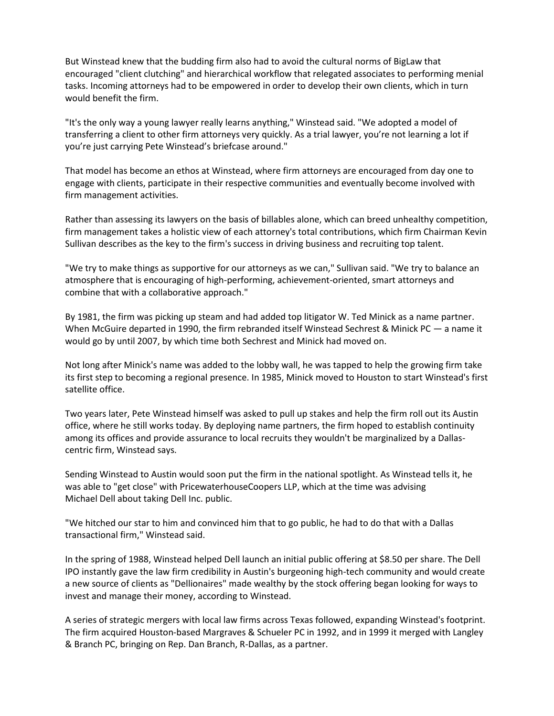But Winstead knew that the budding firm also had to avoid the cultural norms of BigLaw that encouraged "client clutching" and hierarchical workflow that relegated associates to performing menial tasks. Incoming attorneys had to be empowered in order to develop their own clients, which in turn would benefit the firm.

"It's the only way a young lawyer really learns anything," Winstead said. "We adopted a model of transferring a client to other firm attorneys very quickly. As a trial lawyer, you're not learning a lot if you're just carrying Pete Winstead's briefcase around."

That model has become an ethos at Winstead, where firm attorneys are encouraged from day one to engage with clients, participate in their respective communities and eventually become involved with firm management activities.

Rather than assessing its lawyers on the basis of billables alone, which can breed unhealthy competition, firm management takes a holistic view of each attorney's total contributions, which firm Chairman Kevin Sullivan describes as the key to the firm's success in driving business and recruiting top talent.

"We try to make things as supportive for our attorneys as we can," Sullivan said. "We try to balance an atmosphere that is encouraging of high-performing, achievement-oriented, smart attorneys and combine that with a collaborative approach."

By 1981, the firm was picking up steam and had added top litigator W. Ted Minick as a name partner. When McGuire departed in 1990, the firm rebranded itself Winstead Sechrest & Minick PC — a name it would go by until 2007, by which time both Sechrest and Minick had moved on.

Not long after Minick's name was added to the lobby wall, he was tapped to help the growing firm take its first step to becoming a regional presence. In 1985, Minick moved to Houston to start Winstead's first satellite office.

Two years later, Pete Winstead himself was asked to pull up stakes and help the firm roll out its Austin office, where he still works today. By deploying name partners, the firm hoped to establish continuity among its offices and provide assurance to local recruits they wouldn't be marginalized by a Dallascentric firm, Winstead says.

Sending Winstead to Austin would soon put the firm in the national spotlight. As Winstead tells it, he was able to "get close" with PricewaterhouseCoopers LLP, which at the time was advising Michael Dell about taking Dell Inc. public.

"We hitched our star to him and convinced him that to go public, he had to do that with a Dallas transactional firm," Winstead said.

In the spring of 1988, Winstead helped Dell launch an initial public offering at \$8.50 per share. The Dell IPO instantly gave the law firm credibility in Austin's burgeoning high-tech community and would create a new source of clients as "Dellionaires" made wealthy by the stock offering began looking for ways to invest and manage their money, according to Winstead.

A series of strategic mergers with local law firms across Texas followed, expanding Winstead's footprint. The firm acquired Houston-based Margraves & Schueler PC in 1992, and in 1999 it merged with Langley & Branch PC, bringing on Rep. Dan Branch, R-Dallas, as a partner.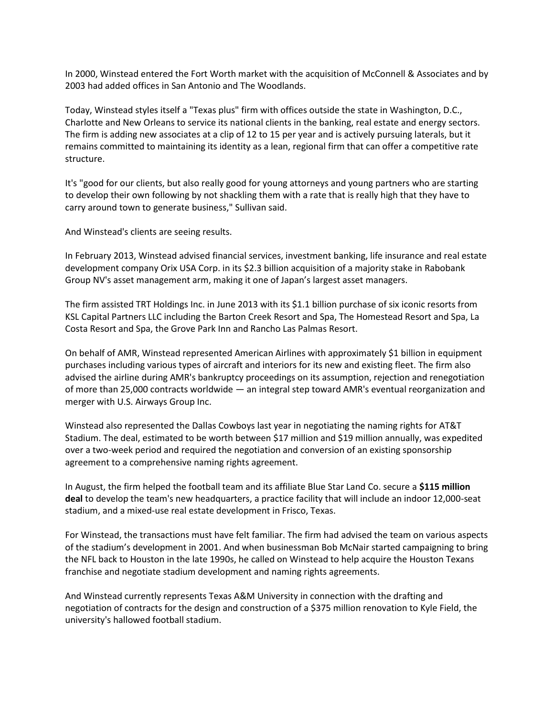In 2000, Winstead entered the Fort Worth market with the acquisition of McConnell & Associates and by 2003 had added offices in San Antonio and The Woodlands.

Today, Winstead styles itself a "Texas plus" firm with offices outside the state in Washington, D.C., Charlotte and New Orleans to service its national clients in the banking, real estate and energy sectors. The firm is adding new associates at a clip of 12 to 15 per year and is actively pursuing laterals, but it remains committed to maintaining its identity as a lean, regional firm that can offer a competitive rate structure.

It's "good for our clients, but also really good for young attorneys and young partners who are starting to develop their own following by not shackling them with a rate that is really high that they have to carry around town to generate business," Sullivan said.

And Winstead's clients are seeing results.

In February 2013, Winstead advised financial services, investment banking, life insurance and real estate development company Orix USA Corp. in its \$2.3 billion acquisition of a majority stake in Rabobank Group NV's asset management arm, making it one of Japan's largest asset managers.

The firm assisted TRT Holdings Inc. in June 2013 with its \$1.1 billion purchase of six iconic resorts from KSL Capital Partners LLC including the Barton Creek Resort and Spa, The Homestead Resort and Spa, La Costa Resort and Spa, the Grove Park Inn and Rancho Las Palmas Resort.

On behalf of AMR, Winstead represented American Airlines with approximately \$1 billion in equipment purchases including various types of aircraft and interiors for its new and existing fleet. The firm also advised the airline during AMR's bankruptcy proceedings on its assumption, rejection and renegotiation of more than 25,000 contracts worldwide — an integral step toward AMR's eventual reorganization and merger with U.S. Airways Group Inc.

Winstead also represented the Dallas Cowboys last year in negotiating the naming rights for AT&T Stadium. The deal, estimated to be worth between \$17 million and \$19 million annually, was expedited over a two-week period and required the negotiation and conversion of an existing sponsorship agreement to a comprehensive naming rights agreement.

In August, the firm helped the football team and its affiliate Blue Star Land Co. secure a **\$115 million deal** to develop the team's new headquarters, a practice facility that will include an indoor 12,000-seat stadium, and a mixed-use real estate development in Frisco, Texas.

For Winstead, the transactions must have felt familiar. The firm had advised the team on various aspects of the stadium's development in 2001. And when businessman Bob McNair started campaigning to bring the NFL back to Houston in the late 1990s, he called on Winstead to help acquire the Houston Texans franchise and negotiate stadium development and naming rights agreements.

And Winstead currently represents Texas A&M University in connection with the drafting and negotiation of contracts for the design and construction of a \$375 million renovation to Kyle Field, the university's hallowed football stadium.